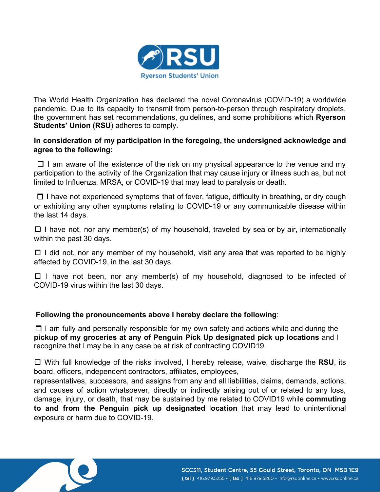

The World Health Organization has declared the novel Coronavirus (COVID-19) a worldwide pandemic. Due to its capacity to transmit from person-to-person through respiratory droplets, the government has set recommendations, guidelines, and some prohibitions which **Ryerson Students' Union (RSU**) adheres to comply.

## **In consideration of my participation in the foregoing, the undersigned acknowledge and agree to the following:**

 $\Box$  I am aware of the existence of the risk on my physical appearance to the venue and my participation to the activity of the Organization that may cause injury or illness such as, but not limited to Influenza, MRSA, or COVID-19 that may lead to paralysis or death.

 $\Box$  I have not experienced symptoms that of fever, fatigue, difficulty in breathing, or dry cough or exhibiting any other symptoms relating to COVID-19 or any communicable disease within the last 14 days.

 $\Box$  I have not, nor any member(s) of my household, traveled by sea or by air, internationally within the past 30 days.

 $\Box$  I did not, nor any member of my household, visit any area that was reported to be highly affected by COVID-19, in the last 30 days.

 $\Box$  I have not been, nor any member(s) of my household, diagnosed to be infected of COVID-19 virus within the last 30 days.

## **Following the pronouncements above I hereby declare the following**:

 $\Box$  I am fully and personally responsible for my own safety and actions while and during the **pickup of my groceries at any of Penguin Pick Up designated pick up locations** and I recognize that I may be in any case be at risk of contracting COVID19.

☐ With full knowledge of the risks involved, I hereby release, waive, discharge the **RSU**, its board, officers, independent contractors, affiliates, employees,

representatives, successors, and assigns from any and all liabilities, claims, demands, actions, and causes of action whatsoever, directly or indirectly arising out of or related to any loss, damage, injury, or death, that may be sustained by me related to COVID19 while **commuting to and from the Penguin pick up designated** l**ocation** that may lead to unintentional exposure or harm due to COVID-19.